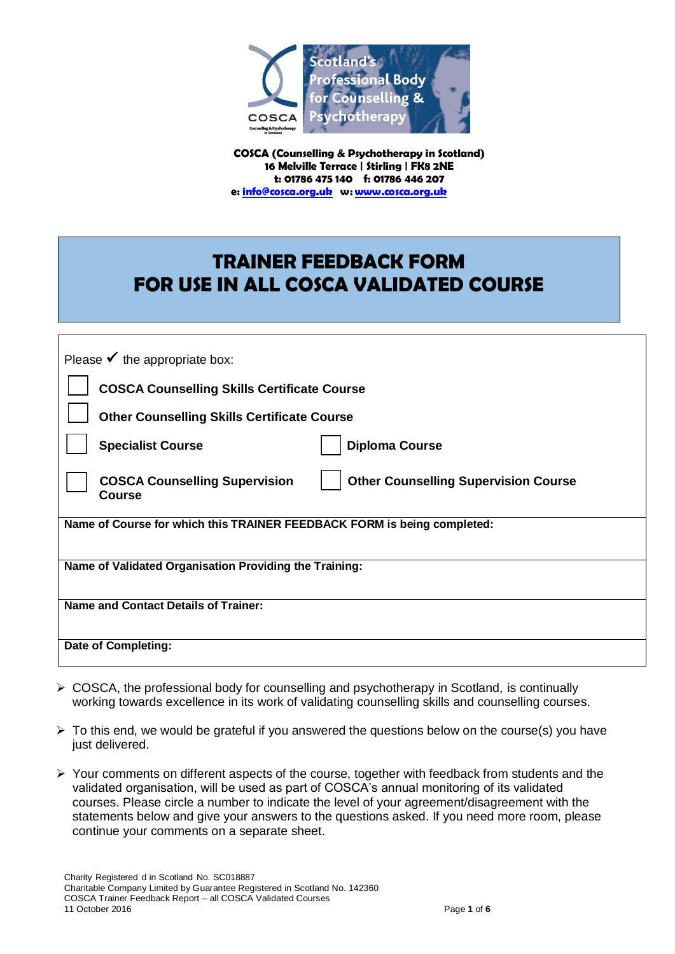

**COSCA (Counselling & Psychotherapy in Scotland) 16 Melville Terrace | Stirling | FK8 2NE t: 01786 475 140 f: 01786 446 207 e: [info@cosca.org.uk](mailto:info@cosca.org.uk) w[: www.cosca.org.uk](http://www.cosca.org.uk/)**

# **TRAINER FEEDBACK FORM FOR USE IN ALL COSCA VALIDATED COURSE**

| Please $\checkmark$ the appropriate box:                                                             |  |
|------------------------------------------------------------------------------------------------------|--|
| <b>COSCA Counselling Skills Certificate Course</b>                                                   |  |
| <b>Other Counselling Skills Certificate Course</b>                                                   |  |
| <b>Specialist Course</b><br><b>Diploma Course</b>                                                    |  |
| <b>Other Counselling Supervision Course</b><br><b>COSCA Counselling Supervision</b><br><b>Course</b> |  |
| Name of Course for which this TRAINER FEEDBACK FORM is being completed:                              |  |
| Name of Validated Organisation Providing the Training:                                               |  |
| <b>Name and Contact Details of Trainer:</b>                                                          |  |
| Date of Completing:                                                                                  |  |

- ▶ COSCA, the professional body for counselling and psychotherapy in Scotland, is continually working towards excellence in its work of validating counselling skills and counselling courses.
- $\triangleright$  To this end, we would be grateful if you answered the questions below on the course(s) you have just delivered.
- $\triangleright$  Your comments on different aspects of the course, together with feedback from students and the validated organisation, will be used as part of COSCA's annual monitoring of its validated courses. Please circle a number to indicate the level of your agreement/disagreement with the statements below and give your answers to the questions asked. If you need more room, please continue your comments on a separate sheet.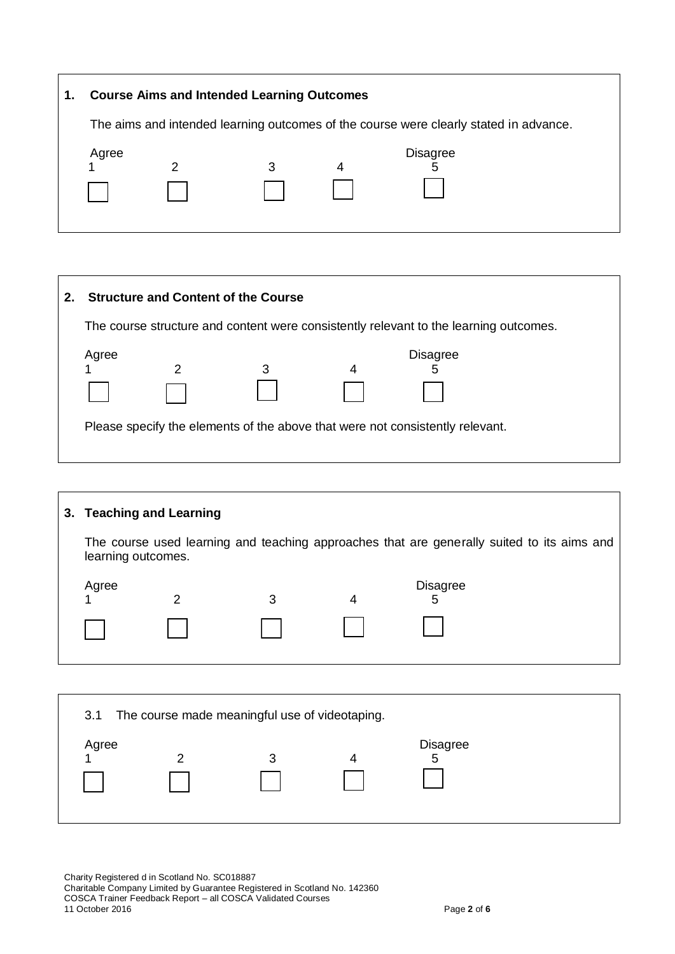| 1. | <b>Course Aims and Intended Learning Outcomes</b>                                     |   |   |   |                 |  |  |
|----|---------------------------------------------------------------------------------------|---|---|---|-----------------|--|--|
|    | The aims and intended learning outcomes of the course were clearly stated in advance. |   |   |   |                 |  |  |
|    | Agree                                                                                 | っ | 3 | 4 | <b>Disagree</b> |  |  |

| 2. |                                                                                       |               | <b>Structure and Content of the Course</b> |  |                      |  |  |
|----|---------------------------------------------------------------------------------------|---------------|--------------------------------------------|--|----------------------|--|--|
|    | The course structure and content were consistently relevant to the learning outcomes. |               |                                            |  |                      |  |  |
|    | Agree                                                                                 | $\mathcal{P}$ | 3                                          |  | <b>Disagree</b><br>5 |  |  |
|    | Please specify the elements of the above that were not consistently relevant.         |               |                                            |  |                      |  |  |

|                                                                                                                  | 3. Teaching and Learning |   |   |                      |  |  |  |
|------------------------------------------------------------------------------------------------------------------|--------------------------|---|---|----------------------|--|--|--|
| The course used learning and teaching approaches that are generally suited to its aims and<br>learning outcomes. |                          |   |   |                      |  |  |  |
| Agree                                                                                                            | າ                        | 3 | 4 | <b>Disagree</b><br>5 |  |  |  |
|                                                                                                                  |                          |   |   |                      |  |  |  |
|                                                                                                                  |                          |   |   |                      |  |  |  |

|       | 3.1 The course made meaningful use of videotaping. |                 |  |
|-------|----------------------------------------------------|-----------------|--|
| Agree | 3                                                  | <b>Disagree</b> |  |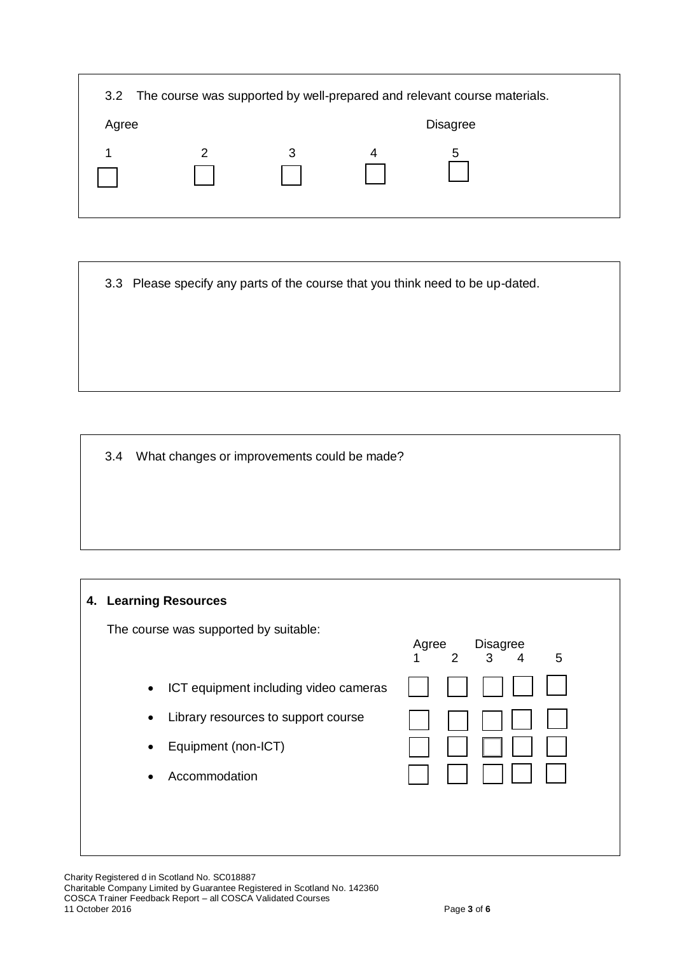|       |   |   |   | 3.2 The course was supported by well-prepared and relevant course materials. |  |
|-------|---|---|---|------------------------------------------------------------------------------|--|
| Agree |   |   |   | <b>Disagree</b>                                                              |  |
|       | 2 | 3 | 4 | 5                                                                            |  |

3.3 Please specify any parts of the course that you think need to be up-dated.

3.4 What changes or improvements could be made?

### **4. Learning Resources**

The course was supported by suitable:

- ICT equipment including video cameras
- Library resources to support course
- Equipment (non-ICT)
- Accommodation

| Agree<br>1 | 2 | Disagree<br>3 | 4 | 5 |  |
|------------|---|---------------|---|---|--|
|            |   |               |   |   |  |
|            |   |               |   |   |  |
|            |   |               |   |   |  |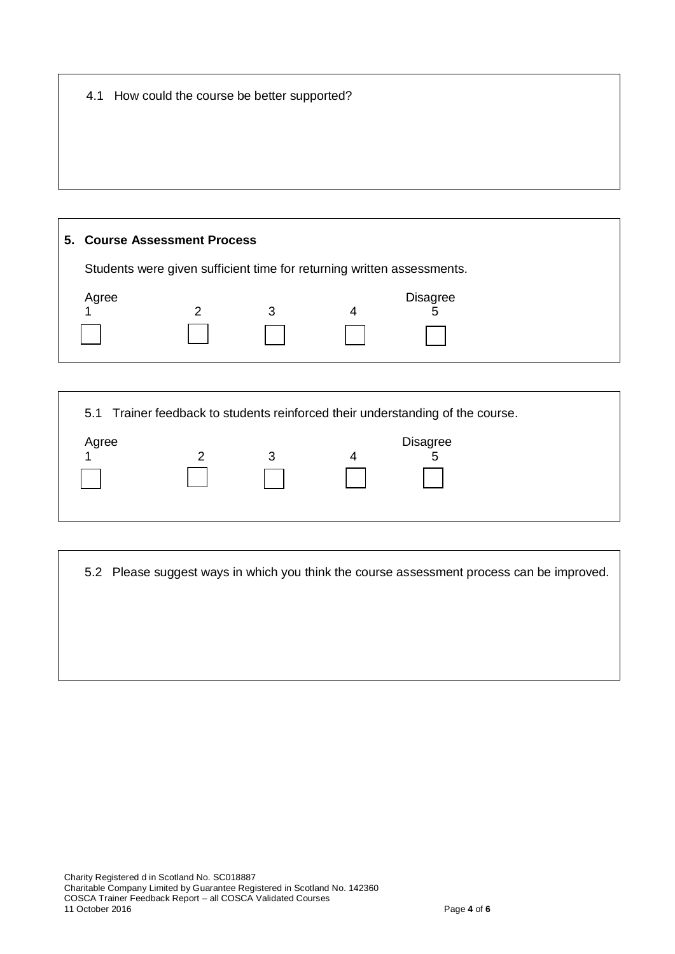| 4.1 How could the course be better supported? |  |  |
|-----------------------------------------------|--|--|
|                                               |  |  |

# **5. Course Assessment Process** Students were given sufficient time for returning written assessments. Agree Disagree 1 2 3 4 5

5.1 Trainer feedback to students reinforced their understanding of the course. Agree Disagree Disagree Disagree Disagree 1 2 3 4 5

5.2 Please suggest ways in which you think the course assessment process can be improved.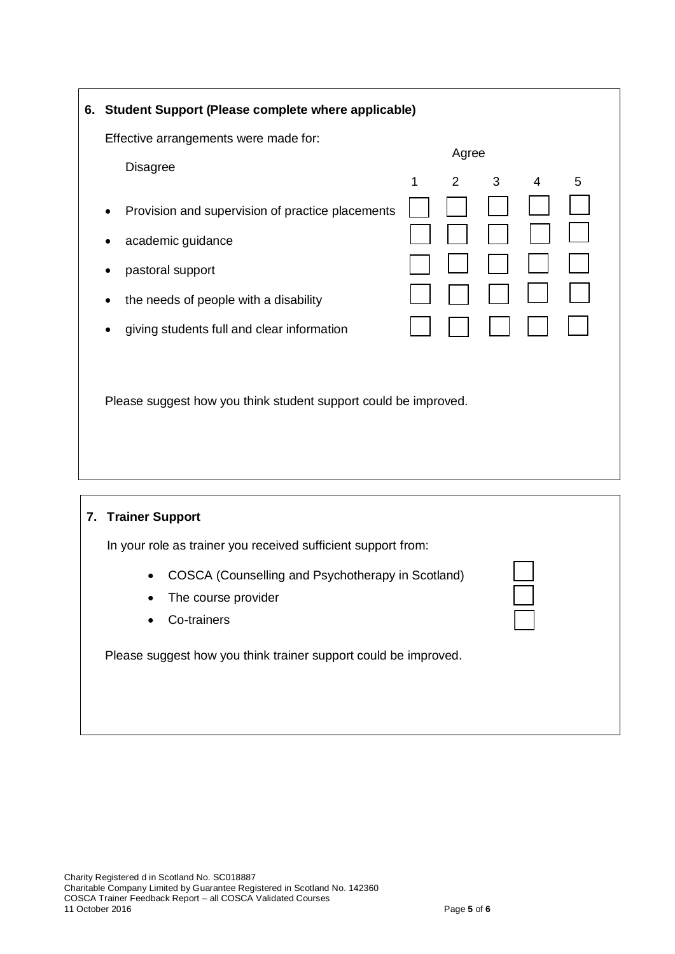| 6. Student Support (Please complete where applicable)                 |   |                |   |                |   |  |
|-----------------------------------------------------------------------|---|----------------|---|----------------|---|--|
| Effective arrangements were made for:                                 |   | Agree          |   |                |   |  |
| <b>Disagree</b>                                                       | 1 | $\overline{2}$ | 3 | $\overline{4}$ | 5 |  |
| Provision and supervision of practice placements<br>academic guidance |   |                |   |                |   |  |
| pastoral support                                                      |   |                |   |                |   |  |
| the needs of people with a disability                                 |   |                |   |                |   |  |
| giving students full and clear information                            |   |                |   |                |   |  |
|                                                                       |   |                |   |                |   |  |
| Please suggest how you think student support could be improved.       |   |                |   |                |   |  |
|                                                                       |   |                |   |                |   |  |
|                                                                       |   |                |   |                |   |  |

## **7. Trainer Support**

In your role as trainer you received sufficient support from:

- COSCA (Counselling and Psychotherapy in Scotland)
- The course provider
- Co-trainers

Please suggest how you think trainer support could be improved.